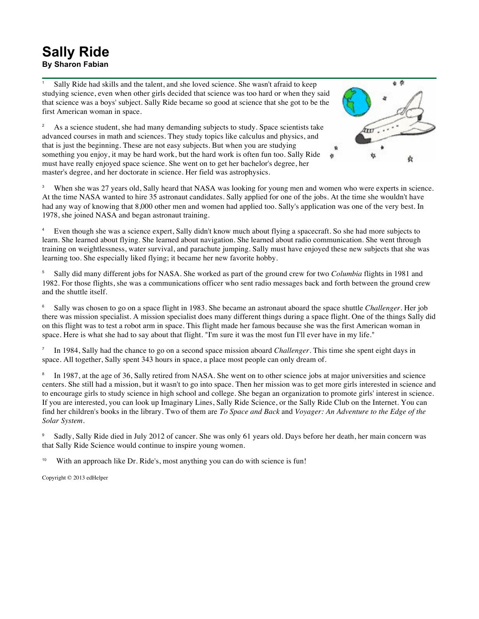## **Sally Ride By Sharon Fabian**

Sally Ride had skills and the talent, and she loved science. She wasn't afraid to keep studying science, even when other girls decided that science was too hard or when they said that science was a boys' subject. Sally Ride became so good at science that she got to be the first American woman in space.

<sup>2</sup> As a science student, she had many demanding subjects to study. Space scientists take advanced courses in math and sciences. They study topics like calculus and physics, and that is just the beginning. These are not easy subjects. But when you are studying something you enjoy, it may be hard work, but the hard work is often fun too. Sally Ride must have really enjoyed space science. She went on to get her bachelor's degree, her master's degree, and her doctorate in science. Her field was astrophysics.



<sup>3</sup> When she was 27 years old, Sally heard that NASA was looking for young men and women who were experts in science. At the time NASA wanted to hire 35 astronaut candidates. Sally applied for one of the jobs. At the time she wouldn't have had any way of knowing that 8,000 other men and women had applied too. Sally's application was one of the very best. In 1978, she joined NASA and began astronaut training.

<sup>4</sup> Even though she was a science expert, Sally didn't know much about flying a spacecraft. So she had more subjects to learn. She learned about flying. She learned about navigation. She learned about radio communication. She went through training on weightlessness, water survival, and parachute jumping. Sally must have enjoyed these new subjects that she was learning too. She especially liked flying; it became her new favorite hobby.

<sup>5</sup> Sally did many different jobs for NASA. She worked as part of the ground crew for two *Columbia* flights in 1981 and 1982. For those flights, she was a communications officer who sent radio messages back and forth between the ground crew and the shuttle itself.

<sup>6</sup> Sally was chosen to go on a space flight in 1983. She became an astronaut aboard the space shuttle *Challenger*. Her job there was mission specialist. A mission specialist does many different things during a space flight. One of the things Sally did on this flight was to test a robot arm in space. This flight made her famous because she was the first American woman in space. Here is what she had to say about that flight. "I'm sure it was the most fun I'll ever have in my life."

<sup>7</sup> In 1984, Sally had the chance to go on a second space mission aboard *Challenger*. This time she spent eight days in space. All together, Sally spent 343 hours in space, a place most people can only dream of.

In 1987, at the age of 36, Sally retired from NASA. She went on to other science jobs at major universities and science centers. She still had a mission, but it wasn't to go into space. Then her mission was to get more girls interested in science and to encourage girls to study science in high school and college. She began an organization to promote girls' interest in science. If you are interested, you can look up Imaginary Lines, Sally Ride Science, or the Sally Ride Club on the Internet. You can find her children's books in the library. Two of them are *To Space and Back* and *Voyager: An Adventure to the Edge of the Solar System*.

<sup>9</sup> Sadly, Sally Ride died in July 2012 of cancer. She was only 61 years old. Days before her death, her main concern was that Sally Ride Science would continue to inspire young women.

With an approach like Dr. Ride's, most anything you can do with science is fun!

Copyright © 2013 edHelper